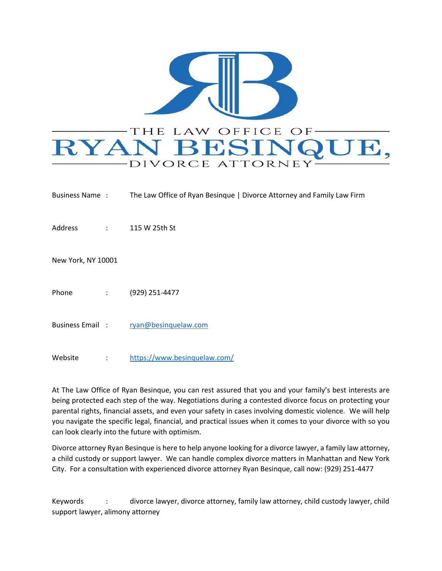

| Business Name:     |                                                           | The Law Office of Ryan Besingue   Divorce Attorney and Family Law Firm |
|--------------------|-----------------------------------------------------------|------------------------------------------------------------------------|
| Address            | $\mathcal{I}^{\text{max}}$ and $\mathcal{I}^{\text{max}}$ | 115 W 25th St                                                          |
| New York, NY 10001 |                                                           |                                                                        |
| Phone              | $\mathcal{L}^{\text{max}}$                                | (929) 251-4477                                                         |
| Business Email:    |                                                           | ryan@besinquelaw.com                                                   |
| Website            | $\ddot{\cdot}$                                            | https://www.besinquelaw.com/                                           |

At The Law Office of Ryan Besinque, you can rest assured that you and your family's best interests are being protected each step of the way. Negotiations during a contested divorce focus on protecting your parental rights, financial assets, and even your safety in cases involving domestic violence. We will help you navigate the specific legal, financial, and practical issues when it comes to your divorce with so you can look clearly into the future with optimism.

Divorce attorney Ryan Besinque is here to help anyone looking for a divorce lawyer, a family law attorney, a child custody or support lawyer. We can handle complex divorce matters in Manhattan and New York City. For a consultation with experienced divorce attorney Ryan Besinque, call now: (929) 251-4477

Keywords : divorce lawyer, divorce attorney, family law attorney, child custody lawyer, child support lawyer, alimony attorney